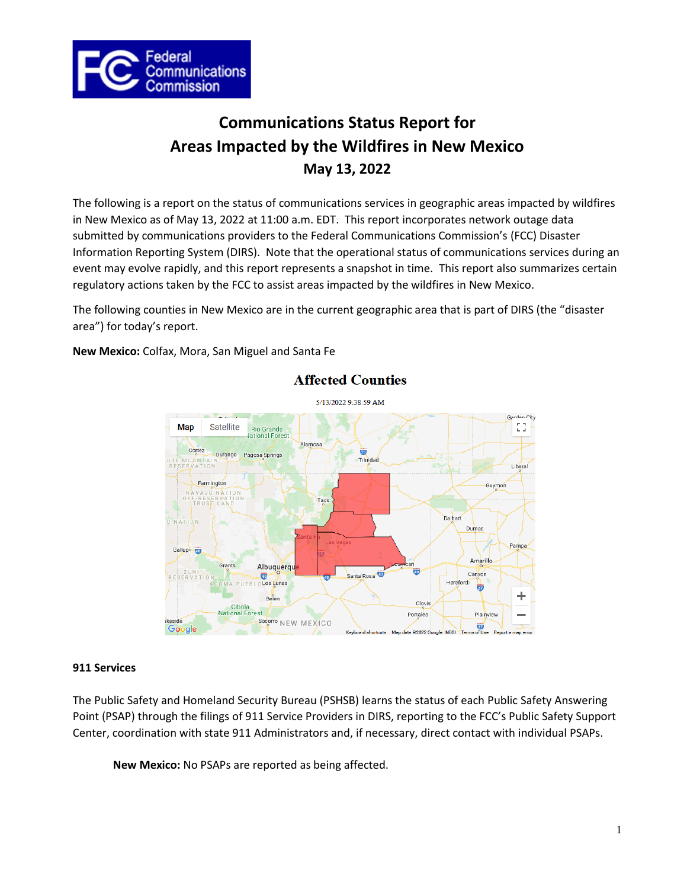

# **Communications Status Report for Areas Impacted by the Wildfires in New Mexico May 13, 2022**

The following is a report on the status of communications services in geographic areas impacted by wildfires in New Mexico as of May 13, 2022 at 11:00 a.m. EDT. This report incorporates network outage data submitted by communications providers to the Federal Communications Commission's (FCC) Disaster Information Reporting System (DIRS). Note that the operational status of communications services during an event may evolve rapidly, and this report represents a snapshot in time. This report also summarizes certain regulatory actions taken by the FCC to assist areas impacted by the wildfires in New Mexico.

The following counties in New Mexico are in the current geographic area that is part of DIRS (the "disaster area") for today's report.

**New Mexico:** Colfax, Mora, San Miguel and Santa Fe



# **Affected Counties**

# **911 Services**

The Public Safety and Homeland Security Bureau (PSHSB) learns the status of each Public Safety Answering Point (PSAP) through the filings of 911 Service Providers in DIRS, reporting to the FCC's Public Safety Support Center, coordination with state 911 Administrators and, if necessary, direct contact with individual PSAPs.

**New Mexico:** No PSAPs are reported as being affected.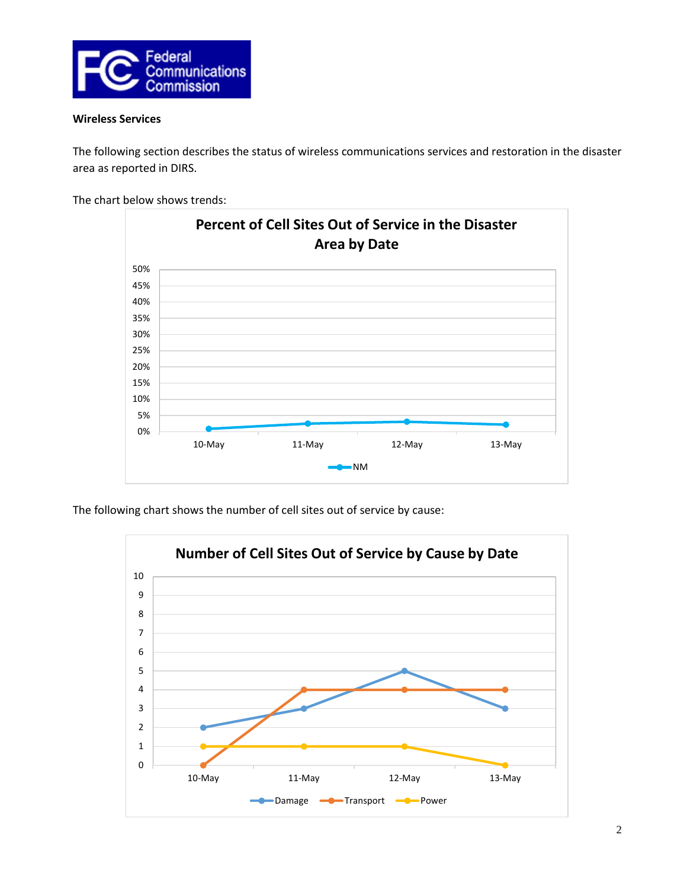

## **Wireless Services**

The following section describes the status of wireless communications services and restoration in the disaster area as reported in DIRS.

The chart below shows trends:



The following chart shows the number of cell sites out of service by cause:

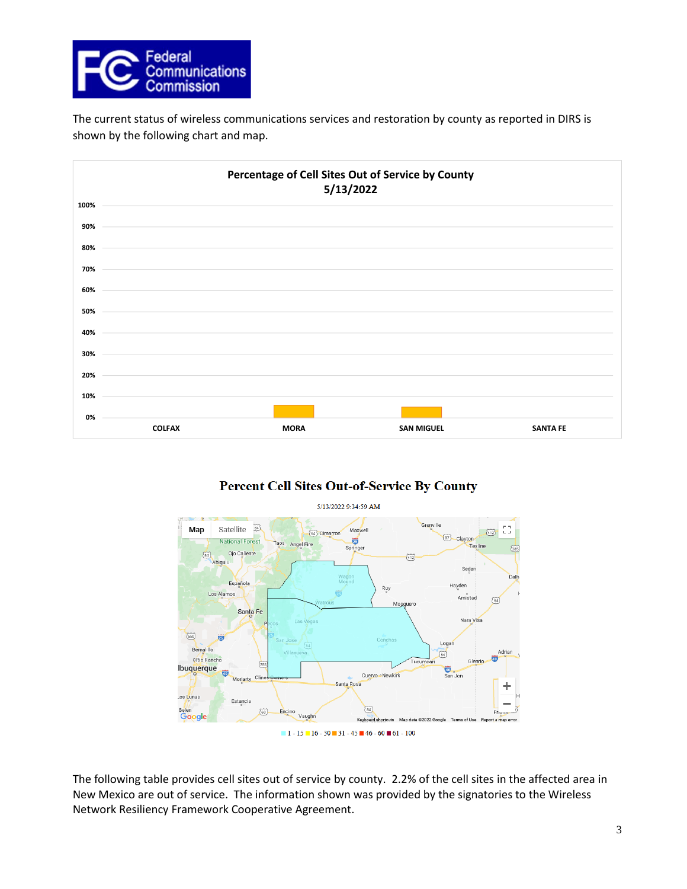

The current status of wireless communications services and restoration by county as reported in DIRS is shown by the following chart and map.



# **Percent Cell Sites Out-of-Service By County**



The following table provides cell sites out of service by county. 2.2% of the cell sites in the affected area in New Mexico are out of service. The information shown was provided by the signatories to the Wireless Network Resiliency Framework Cooperative Agreement.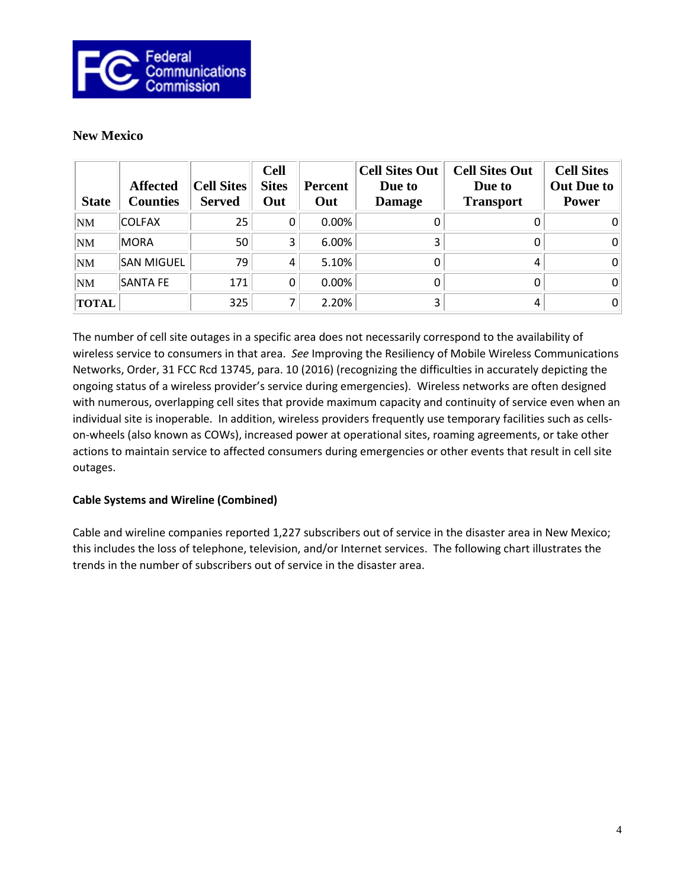

# **New Mexico**

| <b>State</b> | <b>Affected</b><br><b>Counties</b> | <b>Cell Sites</b><br><b>Served</b> | <b>Cell</b><br><b>Sites</b><br>Out | Percent<br>Out | <b>Cell Sites Out</b><br>Due to<br><b>Damage</b> | <b>Cell Sites Out</b><br>Due to<br><b>Transport</b> | <b>Cell Sites</b><br><b>Out Due to</b><br><b>Power</b> |
|--------------|------------------------------------|------------------------------------|------------------------------------|----------------|--------------------------------------------------|-----------------------------------------------------|--------------------------------------------------------|
| <b>NM</b>    | <b>COLFAX</b>                      | 25                                 |                                    | 0.00%          |                                                  |                                                     | 0                                                      |
| <b>NM</b>    | <b>MORA</b>                        | 50                                 | 3                                  | 6.00%          |                                                  |                                                     | 0                                                      |
| <b>NM</b>    | SAN MIGUEL                         | 79                                 | 4                                  | 5.10%          |                                                  |                                                     | 0                                                      |
| NM           | <b>SANTA FE</b>                    | 171                                |                                    | 0.00%          |                                                  |                                                     | 0                                                      |
| <b>TOTAL</b> |                                    | 325                                |                                    | 2.20%          |                                                  |                                                     | 0 <sup>1</sup>                                         |

The number of cell site outages in a specific area does not necessarily correspond to the availability of wireless service to consumers in that area. *See* Improving the Resiliency of Mobile Wireless Communications Networks, Order, 31 FCC Rcd 13745, para. 10 (2016) (recognizing the difficulties in accurately depicting the ongoing status of a wireless provider's service during emergencies). Wireless networks are often designed with numerous, overlapping cell sites that provide maximum capacity and continuity of service even when an individual site is inoperable. In addition, wireless providers frequently use temporary facilities such as cellson-wheels (also known as COWs), increased power at operational sites, roaming agreements, or take other actions to maintain service to affected consumers during emergencies or other events that result in cell site outages.

# **Cable Systems and Wireline (Combined)**

Cable and wireline companies reported 1,227 subscribers out of service in the disaster area in New Mexico; this includes the loss of telephone, television, and/or Internet services. The following chart illustrates the trends in the number of subscribers out of service in the disaster area.